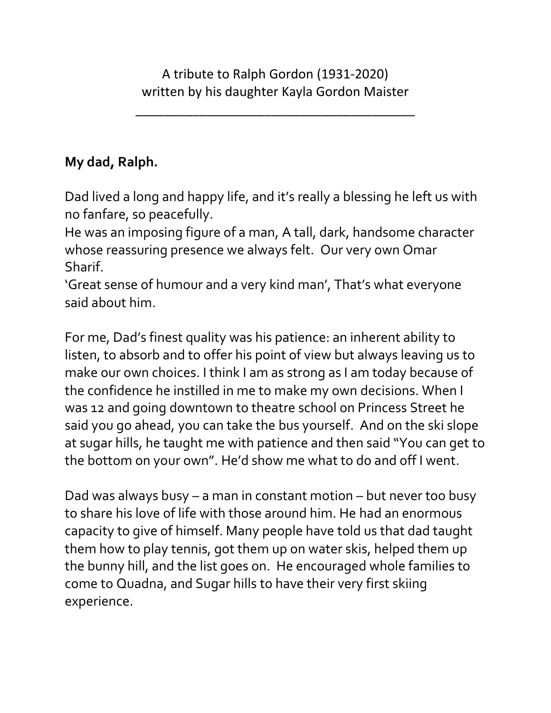\_\_\_\_\_\_\_\_\_\_\_\_\_\_\_\_\_\_\_\_\_\_\_\_\_\_\_\_\_\_\_\_\_\_\_\_\_\_\_

## **My dad, Ralph.**

Dad lived a long and happy life, and it's really a blessing he left us with no fanfare, so peacefully.

He was an imposing figure of a man, A tall, dark, handsome character whose reassuring presence we always felt. Our very own Omar Sharif.

'Great sense of humour and a very kind man', That's what everyone said about him.

For me, Dad's finest quality was his patience: an inherent ability to listen, to absorb and to offer his point of view but always leaving us to make our own choices. I think I am as strong as I am today because of the confidence he instilled in me to make my own decisions. When I was 12 and going downtown to theatre school on Princess Street he said you go ahead, you can take the bus yourself. And on the ski slope at sugar hills, he taught me with patience and then said "You can get to the bottom on your own". He'd show me what to do and off I went.

Dad was always busy – a man in constant motion – but never too busy to share his love of life with those around him. He had an enormous capacity to give of himself. Many people have told us that dad taught them how to play tennis, got them up on water skis, helped them up the bunny hill, and the list goes on. He encouraged whole families to come to Quadna, and Sugar hills to have their very first skiing experience.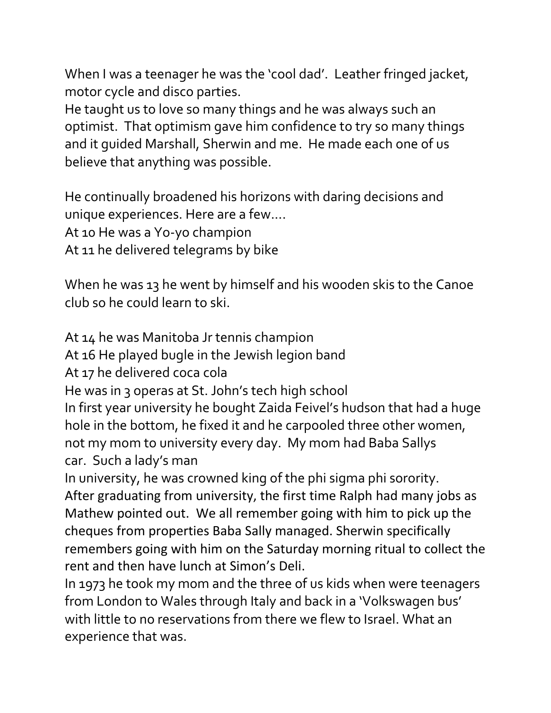When I was a teenager he was the 'cool dad'. Leather fringed jacket, motor cycle and disco parties.

He taught us to love so many things and he was always such an optimist. That optimism gave him confidence to try so many things and it guided Marshall, Sherwin and me. He made each one of us believe that anything was possible.

He continually broadened his horizons with daring decisions and unique experiences. Here are a few....

At 10 He was a Yo-yo champion

At 11 he delivered telegrams by bike

When he was 13 he went by himself and his wooden skis to the Canoe club so he could learn to ski.

At 14 he was Manitoba Jr tennis champion

At 16 He played bugle in the Jewish legion band

At 17 he delivered coca cola

He was in 3 operas at St. John's tech high school

In first year university he bought Zaida Feivel's hudson that had a huge hole in the bottom, he fixed it and he carpooled three other women, not my mom to university every day. My mom had Baba Sallys car. Such a lady's man

In university, he was crowned king of the phi sigma phi sorority. After graduating from university, the first time Ralph had many jobs as Mathew pointed out. We all remember going with him to pick up the cheques from properties Baba Sally managed. Sherwin specifically remembers going with him on the Saturday morning ritual to collect the rent and then have lunch at Simon's Deli.

In 1973 he took my mom and the three of us kids when were teenagers from London to Wales through Italy and back in a 'Volkswagen bus' with little to no reservations from there we flew to Israel. What an experience that was.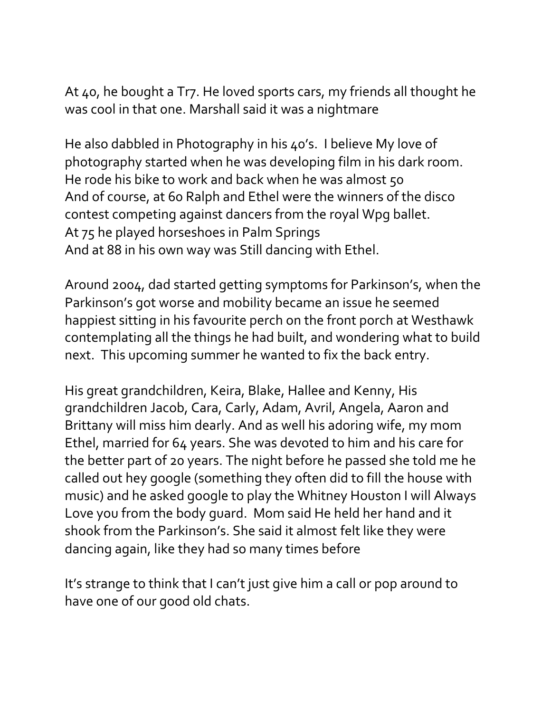At 40, he bought a Tr7. He loved sports cars, my friends all thought he was cool in that one. Marshall said it was a nightmare

He also dabbled in Photography in his 40's. I believe My love of photography started when he was developing film in his dark room. He rode his bike to work and back when he was almost 50 And of course, at 60 Ralph and Ethel were the winners of the disco contest competing against dancers from the royal Wpg ballet. At 75 he played horseshoes in Palm Springs And at 88 in his own way was Still dancing with Ethel.

Around 2004, dad started getting symptoms for Parkinson's, when the Parkinson's got worse and mobility became an issue he seemed happiest sitting in his favourite perch on the front porch at Westhawk contemplating all the things he had built, and wondering what to build next. This upcoming summer he wanted to fix the back entry.

His great grandchildren, Keira, Blake, Hallee and Kenny, His grandchildren Jacob, Cara, Carly, Adam, Avril, Angela, Aaron and Brittany will miss him dearly. And as well his adoring wife, my mom Ethel, married for 64 years. She was devoted to him and his care for the better part of 20 years. The night before he passed she told me he called out hey google (something they often did to fill the house with music) and he asked google to play the Whitney Houston I will Always Love you from the body guard. Mom said He held her hand and it shook from the Parkinson's. She said it almost felt like they were dancing again, like they had so many times before

It's strange to think that I can't just give him a call or pop around to have one of our good old chats.